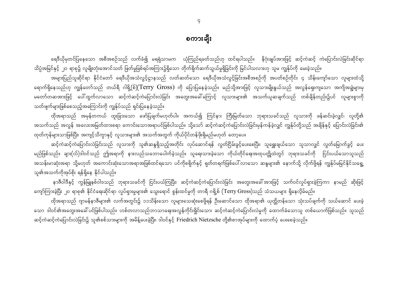ရေဒီယိုမှတင်ပြနေသော အစီအစဉ်သည် လက်ခံ၍ မရရုံသာမက ယုံကြည်ရခတ်သည်ဟု ထင်ရပါသည်။ နိဂုံးချုပ်အားဖြင့် ဆင့်ကဲဆင့် ကဲပြောင်းလဲခြင်းဆိုင်ရာ သိပ္ပံအမြင်နှင့် ၂၀ ရာစု၌ လူမျိုးတုံးအောင်သတ် ဖြတ်မှုဖြစ်ရပ်အကြား၌ရှိသော တိုက်ရိုက်ဆက်သွယ်မှုရှိခြင်းကို မြင်ပါသလားဟု သူမ ကျွန်ုပ်ကို မေးခဲ့သည်။

အများပြည်သူဆိုင်ရာ နိုင်ငံတော် ရေဒီယိုအသံလွင့်ဌာနသည် လတ်ဆတ်သော ရေဒီယိုအသံလွင့်ခြင်းအစီအစဉ်ကို အပတ်စဉ်တိုင်း ၄ သိန်းကျော်သော လူများထံသို့ ရောက်ရှိနေသည်ဟု ကျွန်တော်သည် တယ်ရီ ဂါရို့(စ်) $(\rm{Terry\ Gross})$  ကို ပြောပြနေခဲ့သည်။ မည်သို့အားဖြင့် လူသားမျိုးနွယ်သည် အလွန်ရှေးကျသော အကျိအချွဲများမှ မတော်တဆအားဖြင့် ပေါ်ထွက်လာသော ဆင့်ကဲဆင့်ကဲပြောင်းလဲခြင်း အတွေးအခေါ်ကြောင့် လူသားများ၏ အသက်ယူဆချက်သည် တစ်ချိန်တည်း၌ပင် လူများစွာကို သတ်ဖျက်များဖြစ်စေသည့်အကြောင်းကို ကျွန်ုပ်သည် ရှင်းပြနေခဲ့သည်။

ထိုအရာသည် အမှန်တကယ် ထူးခြားသော ဖော်ပြချက်မဟုတ်ပါ။ အကယ်၍ ကြင်နာ၊ ကြီးမြတ်သော ဘုရားသခင်သည် လူသားကို ဖန်ဆင်းခဲ့လျှင်၊ လူတို့၏ အသက်သည် အလွန် အလေးအမြတ်ထားစရာ ကောင်းသောအရာပင်ဖြစ်ပါသည်။ သို့သော် ဆင့်ကဲဆင့်ကဲပြောင်းလဲခြင်းမှန်ကန်ခဲ့လျှင် ကျွန်ုပ်တို့သည် အချိန်နှင့် ပြောင်းလဲခြင်း၏ ထုတ်ကုန်များသာဖြစ်ပြီး၊ အကျင့်သိက္ခာနှင့် လူသားများ၏ အသက်အတွက် ကိုယ်ပိုင်တန်ဖိုးရှိမည်မဟုတ် တော့ပေ။

ဆင့်ကဲဆင့်ကဲပြောင်းလဲခြင်းသည် လူသားကို သူ၏ဆန္ဒရှိသည့်အတိုင်း လုပ်ဆောင်ရန် လွတ်ငြိမ်းခွင့်ပေးစေပြီး၊ သူရွှေးချယ်သော သူသာလျှင် လွတ်မြောက်ခွင့် ပေး မည်ဖြစ်သည်။ ချား(လ်)ဒါဝင်သည် ဤအရာကို နားလည်သဘောပေါက်ခဲ့သည်။ သူရေးသားခဲ့သော ကိုယ်တိုင်ရေးအထုပတ္တိုထဲတွင် ဘုရားသခင်ကို ငြင်းပယ်သောသူသည် အသန်းမာဆုံးအရာ သို့မဟုတ် အကောင်းဆုံးသောအရာအဖြစ်ထင်ရသော ပင်ကိုစရိုက်နှင့် ရုတ်တရက်ဖြစ်ပေါ် လာသော ဆန္ဒများ၏ နောက်သို့ လိုက်ဖို့ရန် ကျွန်ုပ်မမြင်နိုင်သရွေ့ သူ၏အသက်ကိုအုပ်စိုး ရန်ရှိနေ နိုင်ပါသည်။

နာဇီဝါဒီနှင့် ကွန်မြူနစ်ဝါဒသည် ဘုရားသခင်ကို ငြင်းပယ်ကြပြီး၊ ဆင့်ကဲဆင့်ကဲပြောင်းလဲခြင်း အတွေးအခေါ်အားဖြင့် သက်ဝင်လှုပ်ရှားခဲ့ကြကာ နာမည် ဆိုးဖြင့် ကျော်ကြားခဲ့ပြီး ၂၀ ရာစု၏ နိုင်ငံရေးဆိုင်ရာ လှုပ်ရှားမှုများ၏ သွေးရောင် စွန်းထင်မှုကို တာရီ ဂရို့စ် (Terry Gross)သည် သံသယများ ရှိနေလိုမ်မည်။

ထိုအရာသည် ဂျာမန်နာဇီများ၏ လက်အတွင်း၌ ၁၁သိန်းသော လူများသေဆုံးစေဖို့ရန် ဦးဆောင်သော ထိုအရာ၏ ယုတ္တိတန်သော သုံးသပ်ချက်ကို သယ်ဆောင် ပေးခဲ့ သော ဒါဝင်၏အတွေးအခေါ် ပင်ဖြစ်ပါသည်။ ဟစ်တလာသည်ဘာသာရေးအလွန်ကိုင်းရှိုင်းသော၊ ဆင့်ကဲဆင့်ကဲပြောင်းလဲမှုကို ထောက်ခံသောသူ တစ်ယောက်ဖြစ်သည်။ သူသည် ဆင့်ကဲဆင့်ကဲပြောင်းလဲခြင်း၌ သူ၏စစ်သားများကို အမိန့်ပေးခဲ့ပြီး၊ ဒါဝင်နှင့် Friedrich Nietzsche တို့၏စာအုပ်များကို ထောက်ပံ့ ပေးစေခဲ့သည်။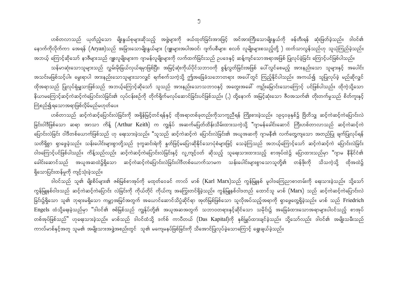ဟစ်တလာသည် ယုတ်ညံ့သော မျိုးနွယ်စုများဆိုသည့် အဖွဲ့များကို ဖယ်ထုတ်ခြင်းအားဖြင့် အင်အားကြီးသောမျိုးနွယ်ကို ဖန်တီးရန် ဆုံးဖြတ်ခဲ့သည်။ ဒါဝင်၏ နောက်ကိုလိုက်ကာ အေရန် (Aryan)သည် အခြားသောမျိုးနွယ်များ (ဂျူးများအပါအဝင်၊ ဂျက်ပစီများ၊ စလဗ် လူမျိုးများစသည့်တို့ ) ထက်သာလွန်သည်ဟု သူယုံကြည်ခဲ့သည်။

အဘယ့် ကြောင့်ဆိုသော် နာဇီများသည် ဂျူးလူမျိုးများက ဂျာမန်လူမျိုးများကို လက်ထက်ခြင်းသည် ဥပဒေနှင့် ဆန့်ကျင်သောအရာအဖြစ် ပြုလုပ်ခဲ့ခြင်း ကြောင့်ပင်ဖြစ်ပါသည်။ သန်မာဆုံးသောသူများသည် လွှမ်းမိုးခြယ်လှယ်ရမှာဖြစ်ပြီး၊ အမြင့်ဆုံးကိုယ်ပိုင်သဘာဝကို စွန့်လွတ်ခြင်းအဖြစ် ပေါ်လွင်စေမည့် အားနည်းသော သူများနှင့် အပေါင်း အသင်းမဖြစ်သင့်ပါ။ မွေးရာပါ အားနည်းသောသူများသာလျှင် ရက်စက်သကဲ့သို့ ဤအခြေခံသဘောတရား အပေါ်တွင် ကြည့်နိုင်ပါသည်။ အကယ်၍ သူပြုလုပ်ခဲ့ မည်ဆိုလျှင် ထိုအရာသည် ပြုလုပ်ရုံမျှသာဖြစ်သည် အဘယ့်ကြောင့်ဆိုသော် သူသည် အားနည်းသောသဘာဝနှင့် အတွေးအခေါ် ကျဉ်းမြောင်းသောကြောင့် ပင်ဖြစ်ပါသည်။ ထိုကဲ့သို့သော နိယာမကြောင့်ဆင့်ကဲဆင့်ကဲပြောင်းလဲခြင်း၏ လုပ်ငန်းစဉ်ကို တိုက်ရိုက်မလုပ်ဆောင်ခြင်းပင်ဖြစ်သည်။ (ႇ) ထို့နောက် အမြင့်ဆုံးသော ဇီဝအသက်၏ တိုးတက်မှုသည် စိတ်ကူးနှင့် ကြံစည်၍ရသောအရာဖြစ်လိုမ်မည်မဟုတ်ပေ။

ဟစ်တာသည် ဆင့်ကဲဆင့်ပြောင်းလဲခြင်းကို အရှိန်မြင့်တင်ရန်နှင့် ထိုအရာတစ်ခုတည်းကိုသာကူညီရန် ကြိုးစားခဲ့သည်။ ၁၉၄၀ခုနှစ်၌ ဗြိတိသျှ ဆင့်ကဲဆင့်ကဲပြောင်းလဲ ခြင်းဝါဒီဖြစ်သော ဆရာ အာသာ ကိန့် (Arthur Keith) က ကျွန်ုပ် အဆက်မပြတ်ထိန်းသိမ်းထားသကဲ့သို့ "ဂျာမန်ခေါင်းဆောင် ကြီးဟစ်တာလာသည် ဆင့်ကဲဆင့်ကဲ ပြောင်းလဲခြင်း ဝါဒီတစ်ယောက်ဖြစ်သည် ဟု ရေးသားခဲ့သည်။ "သူသည် ဆင့်ကဲဆင့်ကဲ ပြောင်းလဲခြင်း၏ အယူအဆကို ဂျာမနီ၏ လက်တွေ့ကျသော အတည်ပြု ချက်ပြုလုပ်ရန် သတိရှိစွာ ရှာဖွေခဲ့သည်။ သန်းပေါင်းများစွာတို့သည် ဒုက္ခဆင်းရဲကို နှတ်ဖြင့်မပြောဆိုနိုင်သောပုံစံများဖြင့် သေခဲ့ကြသည် အဘယ့်ကြောင့်သော် ဆင့်ကဲဆင့်ကဲ ပြောင်းလဲခြင်း ဝါဒကြောင့်ပင်ဖြစ်ပါသည်။ ကိန့်သည်လည်း ဆင့်ကဲဆင့်ကဲပြောင်းလဲခြင်းနှင့် လူ့ကျင့်ဝတ် ဆိုသည့် သူရေးသားထားသည့် စာအုပ်ထဲ၌ ပြောထားသည်မှာ "ဂျာမ နီနိုင်ငံ၏ ခေါင်းဆောင်သည် အယူအဆထဲ၌ရှိသော ဆင့်ကဲဆင့်ကဲပြောင်းလဲခြင်းဝါဒီတစ်ယောက်သာမက သန်းပေါင်းများစွာသောသူတို့၏ တန်ဖိုးကို သိသကဲ့သို့ ထိုအထဲ၌ ရှိသောပြင်းထန်မှုကို ကျင့်သုံးခဲ့သည်။

ဒါဝင်သည် သူ၏ မျိုးစိပ်များ၏ ဇစ်မြစ်စာအုပ်ကို မထုတ်ဝေခင် ကာလ် မာစ် (Karl Marx)သည် ကွန်မြူနစ် မူဝါဒကြေညာစာတမ်းကို ရေးသားခဲ့သည်။ သို့သော် ကွန်မြူနစ်ဝါဒသည် ဆင့်ကဲဆင့်ကဲပြောင်း လဲခြင်းကို ကိုယ်တိုင် ကိုယ်ကျ အကြွေးတင်ရှိခဲ့သည်။ ကွန်မြူနစ်ဝါဒတည် ထောင်သူ မာစ်  $(Marx)$  သည် ဆင့်ကဲဆင့်ကဲပြောင်းလဲ ခြင်း၌ရှိသော သူ၏ ဘုရားမရှိသော ကမ္ဘာ့အမြင်အတွက် အယောင်ဆောင်သိပ္ပံဆိုင်ရာ အုတ်မြစ်ဖြစ်သော သူလိုအပ်သည့်အရာကို ရှာဖွေတွေရှိခဲ့သည်။ မာစ် သည် Friedrich Engels ထံသို့ရေးခဲ့သည်မှာ "ဒါဝင်၏ ဇစ်မြစ်သည် ကျွန်ုပ်တို့၏ အယူအဆအတွက် သဘာဝတရားနှင့်ဆိုင်သော သမိုင်း၌ အခြေခံထားသောအရာများပါဝင်သည့် စာအုပ် တစ်အုပ်ဖြစ်သည်" ဟုရေးသားခဲ့သည်။ မာစ်သည် ဒါဝင်ထံသို့ ဒက်စ် ကာပီတယ် (Das Kapital)ကို နှစ်မြှုပ်ထားချင်ခဲ့သည်။ သို့သော်လည်း ဒါဝင်၏ အမျိုးသမီးသည် ကာလ်မာစ်နှင့်အတူ သူမ၏ အမျိုးသားအဖွဲ့အစည်းတွင် သူ၏ မကျေမနပ်ဖြစ်ခြင်းကို သိအောင်ပြုလုပ်ခဲ့သောကြောင့် ရွေးချယ်ခဲ့သည်။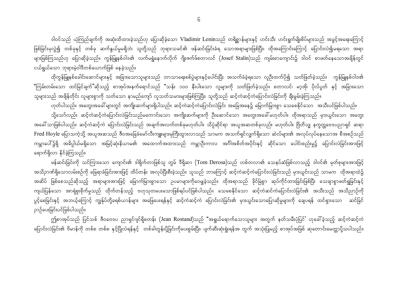ဒါဝင်သည် ယုံကြည်ချက်ကို အဆုံးထိထားခဲ့သည်ဟု ပြောဆိုခဲ့သော Vladimir Leninသည် တရိစ္ဆာန်များနှင့် ဟင်းသီး ဟင်းရွက်မျိုးစိပ်များသည် အခွင့်အရေးကြောင့် ဖြစ်ခြင်းမှလွဲ၍ တစ်ခုနှင့် တစ်ခု ဆက်နွယ်မှုမရှိဘဲ၊ သူတို့သည် ဘုရားသခင်၏ ဖန်ဆင်းခြင်းခံရ သောအရာများဖြစ်ပြီး၊ ထိုအကြောင်းကြောင့် ပြောင်းလဲ၍မရသော အရာ များဖြစ်ကြသည်ဟု ပြောဆိုခဲ့သည်။ ကွန်မြူနစ်ဝါဒ၏ လက်မရွံနောက်လိုက် ဂျိုးဇက်ဖ်စတာလင် (Josef Stalin)သည် ကျမ်းစာကျောင်း၌ ဒါဝင် စာဖတ်နေသောအချိန်တွင် ငယ်ရွယ်သော ဘုရားမဲ့ဝါဒီတစ်ယောက်ဖြစ် နေခဲ့သည်။

ထိုကွန်မြူနစ်ခေါင်းဆောင်များနှင့် အခြားသောသူများသည် ဘာသာရေးစစ်ပွဲများနှင့်ပေါင်းပြီး အသက်ခံခဲ့ရသော လူဉီးထက်ပို၍ သတ်ဖြတ်ခဲ့သည်။ ကွန်မြူနစ်ဝါဒ၏ "ကြမ်းတမ်းသော ထင်မြင်ချက်"ဆိုသည့် စာအုပ်အနက်ရောင်သည် "သန်း ၁၀၀ နီးပါးသော လူများကို သတ်ဖြတ်ခဲ့သည်။ စတာလင်၊ မာ့အို၊ ပိုလ်ပွတ် နှင့် အခြားသော သူများသည် အချိန်တိုင်း လူများစွာကို သတ်သော နာမည်ကျော် လူသတ်သမားများဖြစ်ကြပြီး၊ သူတို့သည် ဆင့်ကဲဆင့်ကဲပြောင်းလဲခြင်းကို ချီးမွမ်းခဲ့ကြသည်။

ဟုတ်ပါသည်။ အတွေးအခေါ် များတွင် အကျိုးဆက်များရှိပါသည်။ ဆင့်ကဲဆင့်ကဲပြောင်းလဲခြင်း အခြေအနေ၌ မြောက်မြားစွာ သေစေနိုင်သော အသီးပင်ဖြစ်ပါသည်။ သို့သော်လည်း ဆင့်ကဲဆင့်ကဲပြောင်းလဲခြင်းသည်မကောင်းသော အကျိုးဆက်များကို ဦးဆောင်သော အတွေးအခေါ် မဟုတ်ပါ။ ထိုအရာသည် မှားယွင်းသော အတွေး အခေါ် သာဖြစ်ပါသည်။ ဆင့်ကဲဆင့်ကဲ ပြောင်းလဲခြင်းသည် အချက်အလက်တစ်ခုမဟုတ်ပါ။ သိပ္ပံဆိုင်ရာ အယူအဆတစ်ခုလည်း မဟုတ်ပါ။ ဗြိတိသျှ နက္ခတ္တဗေဒပညာရှင် ဆရာ Fred Hoyle ပြောသကဲ့သို့ အယူအဆသည် ဇီဝအခြေခံမော်လီးကျူးများမှကြီးထွားလာသည် သာမက အသက်ရှင်လျှက်ရှိသော ဆဲလ်များ၏ အလုပ်လုပ်နေသောအ စီအစဉ်သည် ကမ္ဘာပေါ်၌ရှိ အဓိပ္ပါယ်မရှိသော အမြင့်ဆုံးနိယာမ၏ အထောက်အထားသည် ကမ္ဘာဦးကာလ အင်္ဂါအစိတ်အပိုင်းနှင့် ဆိုင်သော ပေါင်းစည်းမှု၌ ပြောင်းလဲခြင်းအားဖြင့် ရောက်ရှိလာ နိုင်ခဲ့ကြသည်။

ဖန်ဆင်းခြင်းကို သင်ကြားသော ကျောင်း၏ ဒါရိုက်တာဖြစ်သူ တွမ် ဒီရိုဆာ (Tom Derosa)သည် ဟစ်တလာ၏ သေနပ်ဆံဖြစ်လာသည့် ဒါဝင်၏ မှတ်စုများအားဖြင့် အသိဉာဏ်ရှိသောလမ်းစဉ်ကို ခြေရာခံခြင်းအားဖြင့် ထိပ်တန်း အလုပ်ပြီးစီးခဲ့သည်။ သူသည် ဘာကြောင့် ဆင့်ကဲဆင့်ကဲပြောင်းလဲခြင်းသည် မှားယွင်းသည် သာမက ထိုအရာထဲ၌ အဆိပ် ဖြစ်စေသည်ဆိုသည့် အရာများအားဖြင့် မြောက်မြားစွာသော ဉပမာများကိုဝေမျှခဲ့သည်။ ထိုအရာသည် ခိုင်မြဲစွာ ဆုပ်ကိုင်ထားခြင်းဖြစ်ပြီး သေချာစွာဖတ်ရှုခြင်းနှင့် ကျယ်ပြန်သော အာရုံစူးစိုက်မှုသည် ထိုက်တန်သည့် ဗဟုသုတပေးသောဖြစ်ရပ်ပင်ဖြစ်ပါသည်။ သေစေနိုင်သော ဆင့်ကဲဆင်ကဲပြောင်းလဲခြင်း၏ အသီးသည် အသိညာဉ်ကို ပွင့်စေခြင်းနှင့် အဘယ့်ကြောင့် ကျွန်ုပ်တို့ခရစ်ယာန်များ အဖြေပေးရန်နှင့် ဆင့်ကဲဆင့်ကဲ ပြောင်းလဲခြင်း၏ မှားယွင်းသောပြောဆိုမှုများကို ချေပရန် ထင်ရှားသော ဆင်ခြင် ဉာဉ်ပေးခြင်းပင်ဖြစ်ပါသည်။

ဤစာအုပ်သည် ပြင်သစ် ဇီဝဗေဒပ ညာရှင်ဂျင်ရိုစတန်း (Jean Rostand)သည် "အရွယ်ရောက်သောသူများ အတွက် နတ်သမီးပုံပြင်' ဟုခေါ်ခဲ့သည့် ဆင့်ကဲဆင့်ကဲ ပြောင်းလဲခြင်း၏ ဗိမာန်ကို တစ်စ တစ်စ နှင့်ပြိုလဲရန်နှင့် တစ်ခါတွန်းပို့ခြင်းကိုပေးစွမ်းပြီး၊ ပျက်ဆီးဆုံးရှုံးရန်အ တွက် အသုံးပြုမည့် စာအုပ်အဖြစ် ဆုတောင်းမေတ္တာပို့သပါသည်။